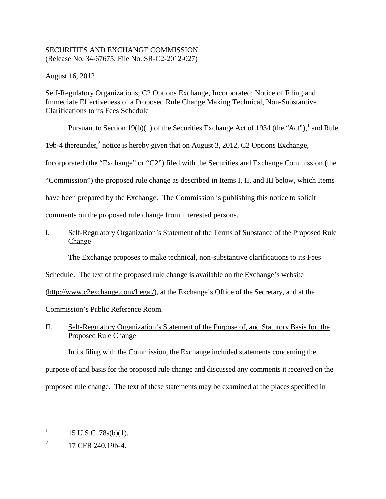### SECURITIES AND EXCHANGE COMMISSION (Release No. 34-67675; File No. SR-C2-2012-027)

August 16, 2012

Self-Regulatory Organizations; C2 Options Exchange, Incorporated; Notice of Filing and Immediate Effectiveness of a Proposed Rule Change Making Technical, Non-Substantive Clarifications to its Fees Schedule

Pursuant to Section 19(b)(1) of the Securities Exchange Act of 1934 (the "Act"), and Rule

19b-4 thereunder,<sup>2</sup> notice is hereby given that on August 3, 2012, C2 Options Exchange,

Incorporated (the "Exchange" or "C2") filed with the Securities and Exchange Commission (the

"Commission") the proposed rule change as described in Items I, II, and III below, which Items

have been prepared by the Exchange. The Commission is publishing this notice to solicit

comments on the proposed rule change from interested persons.

# **Change** I. Self-Regulatory Organization's Statement of the Terms of Substance of the Proposed Rule

The Exchange proposes to make technical, non-substantive clarifications to its Fees

Schedule. The text of the proposed rule change is available on the Exchange's website

(http://www.c2exchange.com/Legal/), at the Exchange's Office of the Secretary, and at the

Commission's Public Reference Room.

## II. Self-Regulatory Organization's Statement of the Purpose of, and Statutory Basis for, the Proposed Rule Change

In its filing with the Commission, the Exchange included statements concerning the purpose of and basis for the proposed rule change and discussed any comments it received on the proposed rule change. The text of these statements may be examined at the places specified in

1

<sup>15</sup> U.S.C. 78s(b)(1).

 $\overline{2}$ 2 17 CFR 240.19b-4.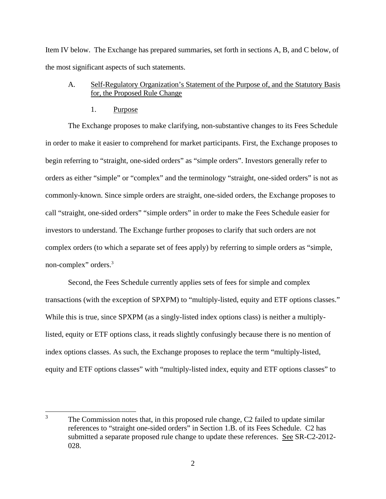Item IV below. The Exchange has prepared summaries, set forth in sections A, B, and C below, of the most significant aspects of such statements.

## A. Self-Regulatory Organization's Statement of the Purpose of, and the Statutory Basis for, the Proposed Rule Change

1. Purpose

1

The Exchange proposes to make clarifying, non-substantive changes to its Fees Schedule in order to make it easier to comprehend for market participants. First, the Exchange proposes to begin referring to "straight, one-sided orders" as "simple orders". Investors generally refer to orders as either "simple" or "complex" and the terminology "straight, one-sided orders" is not as commonly-known. Since simple orders are straight, one-sided orders, the Exchange proposes to call "straight, one-sided orders" "simple orders" in order to make the Fees Schedule easier for investors to understand. The Exchange further proposes to clarify that such orders are not complex orders (to which a separate set of fees apply) by referring to simple orders as "simple, non-complex" orders.3

Second, the Fees Schedule currently applies sets of fees for simple and complex transactions (with the exception of SPXPM) to "multiply-listed, equity and ETF options classes." While this is true, since SPXPM (as a singly-listed index options class) is neither a multiplylisted, equity or ETF options class, it reads slightly confusingly because there is no mention of index options classes. As such, the Exchange proposes to replace the term "multiply-listed, equity and ETF options classes" with "multiply-listed index, equity and ETF options classes" to

 3 The Commission notes that, in this proposed rule change, C2 failed to update similar references to "straight one-sided orders" in Section 1.B. of its Fees Schedule. C2 has submitted a separate proposed rule change to update these references. See SR-C2-2012- 028.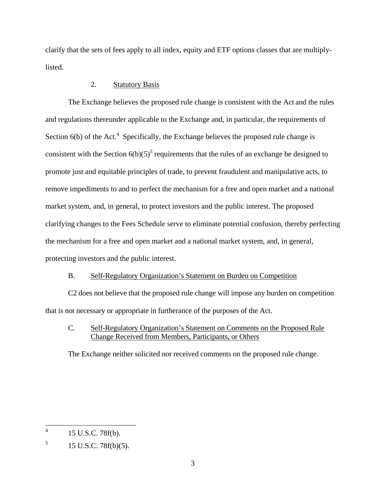clarify that the sets of fees apply to all index, equity and ETF options classes that are multiplylisted.

### 2. Statutory Basis

The Exchange believes the proposed rule change is consistent with the Act and the rules and regulations thereunder applicable to the Exchange and, in particular, the requirements of Section  $6(b)$  of the Act.<sup>4</sup> Specifically, the Exchange believes the proposed rule change is consistent with the Section  $6(b)(5)^5$  requirements that the rules of an exchange be designed to promote just and equitable principles of trade, to prevent fraudulent and manipulative acts, to remove impediments to and to perfect the mechanism for a free and open market and a national market system, and, in general, to protect investors and the public interest. The proposed clarifying changes to the Fees Schedule serve to eliminate potential confusion, thereby perfecting the mechanism for a free and open market and a national market system, and, in general, protecting investors and the public interest.

## B. Self-Regulatory Organization's Statement on Burden on Competition

C2 does not believe that the proposed rule change will impose any burden on competition that is not necessary or appropriate in furtherance of the purposes of the Act.

# C. Self-Regulatory Organization's Statement on Comments on the Proposed Rule Change Received from Members, Participants, or Others

The Exchange neither solicited nor received comments on the proposed rule change.

 $\overline{a}$ 

<sup>15</sup> U.S.C. 78f(b).

 $\sqrt{5}$ 5 15 U.S.C. 78f(b)(5).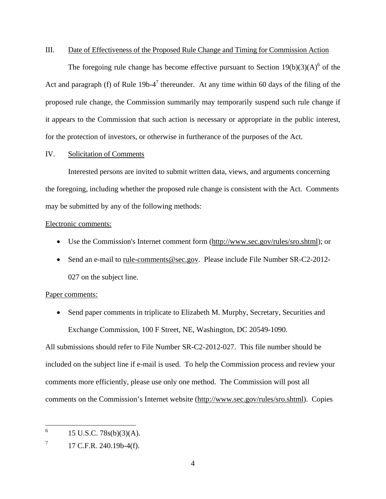#### III. Date of Effectiveness of the Proposed Rule Change and Timing for Commission Action

The foregoing rule change has become effective pursuant to Section  $19(b)(3)(A)^6$  of the Act and paragraph (f) of Rule 19b-4<sup>7</sup> thereunder. At any time within 60 days of the filing of the proposed rule change, the Commission summarily may temporarily suspend such rule change if it appears to the Commission that such action is necessary or appropriate in the public interest, for the protection of investors, or otherwise in furtherance of the purposes of the Act.

#### IV. Solicitation of Comments

Interested persons are invited to submit written data, views, and arguments concerning the foregoing, including whether the proposed rule change is consistent with the Act. Comments may be submitted by any of the following methods:

#### Electronic comments:

- Use the Commission's Internet comment form (http://www.sec.gov/rules/sro.shtml); or
- Send an e-mail to rule-comments@sec.gov. Please include File Number SR-C2-2012-027 on the subject line.

#### Paper comments:

• Send paper comments in triplicate to Elizabeth M. Murphy, Secretary, Securities and Exchange Commission, 100 F Street, NE, Washington, DC 20549-1090.

All submissions should refer to File Number SR-C2-2012-027. This file number should be included on the subject line if e-mail is used. To help the Commission process and review your comments more efficiently, please use only one method. The Commission will post all comments on the Commission's Internet website (http://www.sec.gov/rules/sro.shtml). Copies

 $\overline{a}$ 

<sup>6 15</sup> U.S.C. 78s(b)(3)(A).

 $\tau$ 7 17 C.F.R. 240.19b-4(f).